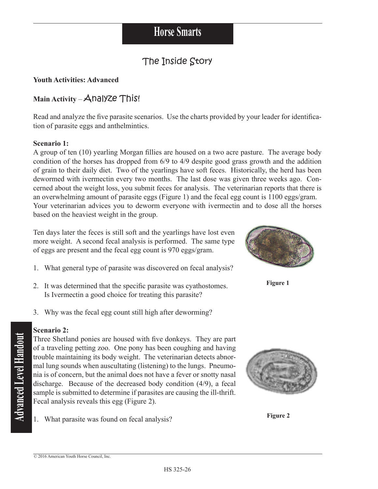## The Inside Story

### **Youth Activities: Advanced**

### Main Activity – Analyze This!

Read and analyze the five parasite scenarios. Use the charts provided by your leader for identification of parasite eggs and anthelmintics.

### **Scenario 1:**

A group of ten (10) yearling Morgan fillies are housed on a two acre pasture. The average body condition of the horses has dropped from 6/9 to 4/9 despite good grass growth and the addition of grain to their daily diet. Two of the yearlings have soft feces. Historically, the herd has been dewormed with ivermectin every two months. The last dose was given three weeks ago. Concerned about the weight loss, you submit feces for analysis. The veterinarian reports that there is an overwhelming amount of parasite eggs (Figure 1) and the fecal egg count is 1100 eggs/gram. Your veterinarian advices you to deworm everyone with ivermectin and to dose all the horses based on the heaviest weight in the group.

Ten days later the feces is still soft and the yearlings have lost even more weight. A second fecal analysis is performed. The same type of eggs are present and the fecal egg count is 970 eggs/gram.

- 1. What general type of parasite was discovered on fecal analysis?
- 2. It was determined that the specific parasite was cyathostomes. Is Ivermectin a good choice for treating this parasite?
- 3. Why was the fecal egg count still high after deworming?

### **Scenario 2:**

Three Shetland ponies are housed with five donkeys. They are part of a traveling petting zoo. One pony has been coughing and having trouble maintaining its body weight. The veterinarian detects abnormal lung sounds when auscultating (listening) to the lungs. Pneumonia is of concern, but the animal does not have a fever or snotty nasal discharge. Because of the decreased body condition (4/9), a fecal sample is submitted to determine if parasites are causing the ill-thrift. Fecal analysis reveals this egg (Figure 2).

1. What parasite was found on fecal analysis?



**Figure 2**



**Figure 1**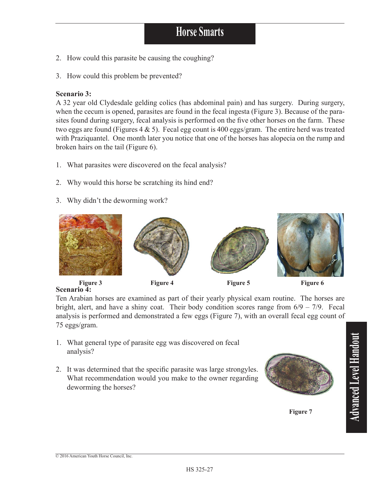# **Horse Smarts**

- 2. How could this parasite be causing the coughing?
- 3. How could this problem be prevented?

#### **Scenario 3:**

A 32 year old Clydesdale gelding colics (has abdominal pain) and has surgery. During surgery, when the cecum is opened, parasites are found in the fecal ingesta (Figure 3). Because of the parasites found during surgery, fecal analysis is performed on the five other horses on the farm. These two eggs are found (Figures 4 & 5). Fecal egg count is 400 eggs/gram. The entire herd was treated with Praziquantel. One month later you notice that one of the horses has alopecia on the rump and broken hairs on the tail (Figure 6).

- 1. What parasites were discovered on the fecal analysis?
- 2. Why would this horse be scratching its hind end?
- 3. Why didn't the deworming work?



**Scenario 4:** 

Ten Arabian horses are examined as part of their yearly physical exam routine. The horses are bright, alert, and have a shiny coat. Their body condition scores range from  $6/9 - 7/9$ . Fecal analysis is performed and demonstrated a few eggs (Figure 7), with an overall fecal egg count of 75 eggs/gram.

- 1. What general type of parasite egg was discovered on fecal analysis?
- 2. It was determined that the specific parasite was large strongyles. What recommendation would you make to the owner regarding deworming the horses?